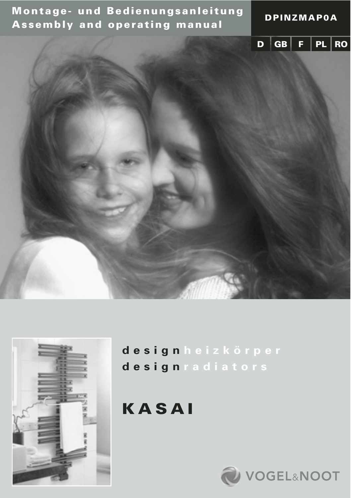**Montage- und Bedienungsanleitung Assembly and operating manual DPINZMAP0A**





**design heizkörper design radiators**

**KASAI**

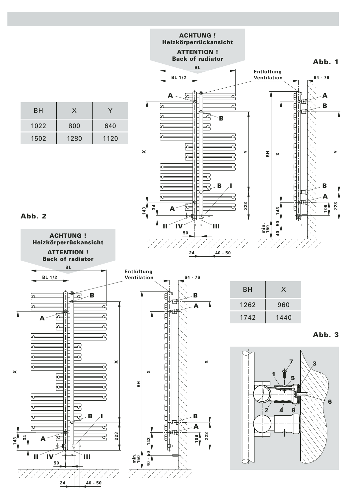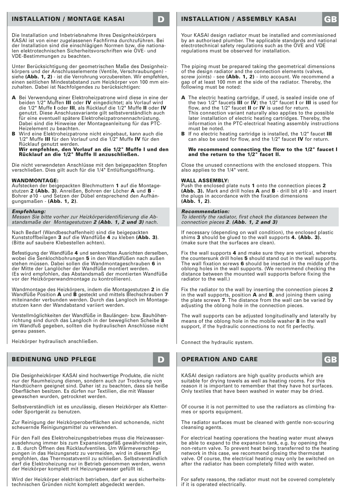# **INSTALLATION / MONTAGE KASAI D INSTALLATION / ASSEMBLY KASAI GB**

Die Installation und Inbetriebnahme Ihres Designheizkörpers KASAI ist von einer zugelassenen Fachfirma durchzuführen. Bei der Installation sind die einschlägigen Normen bzw. die nationalen elektrotechnischen Sicherheitsvorschriften wie ÖVE- und VDE-Bestimmungen zu beachten.

Unter Berücksichtigung der geometrischen Maße des Designheiz-körpers und der Anschlusselemente (Ventile, Verschraubungen) siehe **(Abb. 1, 2)** - ist die Verrohrung vorzubereiten. Wir empfehlen, einen seitlichen Mindestabstand zum Heizkörper von 100 mm einzuhalten. Dabei ist Nachfolgendes zu berücksichtigen:

- **A** Bei Verwendung einer Elektroheizpatrone wird diese in eine der beiden 1/2" Muffen **III** oder **IV** eingedichtet; als Vorlauf wird die 1/2" Muffe **I** oder **III**, als Rücklauf die 1/2" Muffe **II** oder **IV** genutzt. Diese Anschlussvariante gilt selbstverständlich auch für eine eventuell spätere Elektroheizpatronennachrüstung. Dabei sind die Hinweise der Montageanleitung für das PTC-Heizelement zu beachten.
- **B** Wird eine Elektroheizpatrone nicht eingebaut, kann auch die 1/2" Muffe **III** für den Vorlauf und die 1/2" Muffe **IV** für den Rücklauf genutzt werden.

**Wir empfehlen, den Vorlauf an die 1/2" Muffe I und den Rücklauf an die 1/2" Muffe II anzuschließen.**

Die nicht verwendeten Anschlüsse mit den beigepackten Stopfen verschließen. Dies gilt auch für die 1/4" Entlüftungsöffnung.

#### **WANDMONTAGE:**

Aufstecken der beigepackten Blechmuttern **1** auf die Montagestutzen **2 (Abb. 3)**. Anreißen, Bohren der Löcher **A** und **B** - Bohrer ø10 - und Setzen der Dübel entsprechend den Aufhängungsmaßen - **(Abb. 1, 2)**.

#### **Empfehlung:**

Messen Sie bitte vorher zur Heizkörperidentifizierung die Ab-standsmaße der Montagestutzen **2 (Abb. 1, 2 und 3)** nach.

Nach Bedarf (Wandbeschaffenheit) sind die beigepackten Kunststoffbeilagen **3** auf die Wandfüße **4** zu kleben **(Abb. 3)**. (Bitte auf saubere Klebestellen achten).

Befestigung der Wandfüße **4** und senkrechtes Ausrichten derselben, wobei die Senklochbohrungen **5** in den Wandfüßen nach außen stehen müssen. Dabei sollen die Wandmontageschrauben **6** in der Mitte der Langlöcher der Wandfüße montiert werden. (Es wird empfohlen, das Abstandsmaß der montierten Wandfüße vor der Heizkörperwandmontage zu kontrollieren).

Wandmontage des Heizkörpers, indem die Montagestutzen **2** in die Wandfüße Position **A** und **B** gesteckt und mittels Blechschrauben **7** miteinander verbunden werden. Durch das Langloch im Montagestutzen kann der Wandabstand variiert werden.

Verstellmöglichkeiten der Wandfüße in Baulängen- bzw. Bauhöhenrichtung sind durch das Langloch in der beweglichen Scheibe **8** im Wandfuß gegeben, sollten die hydraulischen Anschlüsse nicht genau passen.

Heizkörper hydraulisch anschließen.

# **BEDIENUNG UND PFLEGE DESCRIPTION AND CARE AND CARE AND CARE AND CARE AND CARE**

Die Designheizkörper KASAI sind hochwertige Produkte, die nicht<br>nur der Raumheizung dienen, sondern auch zur Trocknung von<br>Handtüchern geeignet sind. Daher ist zu beachten, dass sie heiße<br>Oberflächen besitzen. Es dürfen nu gewaschen wurden, getrocknet werden.

Selbstverständlich ist es unzulässig, diesen Heizkörper als Kletteroder Sportgerät zu benutzen.

Zur Reinigung der Heizkörperoberflächen sind schonende, nicht scheuernde Reinigungsmittel zu verwenden.

Für den Fall des Elektroheizungsbetriebes muss die Heizwasserausdehnung immer bis zum Expansionsgefäß gewährleistet sein, z. B. durch Öffnen des Rücklaufventiles. Um Wärmeverschleppungen in das Heizungsnetz zu vermeiden, wird in diesem Fall empfohlen, das Thermostatventil zu schließen. Selbstverständlich darf die Elektroheizung nur in Betrieb genommen werden, wenn der Heizkörper komplett mit Heizungswasser gefüllt ist.

Wird der Heizkörper elektrisch betrieben, darf er aus sicherheitstechnischen Gründen nicht komplett abgedeckt werden.

Your KASAI design radiator must be installed and commissioned by an authorised plumber. The applicable standards and national electrotechnical safety regulations such as the ÖVE and VDE regulations must be observed for installation.

The piping must be prepared taking the geometrical dimensions of the design radiator and the connection elements (valves,<br>screw joints) - see (Abb. 1, 2) - into account. We recommend a screw joints) - see **(Abb. 1, 2)** - into account. We recommend a<br>gap of at least 100 mm at the side of the radiator. Thereby, the<br>following must be noted:

- **A** The electric heating cartridge, if used, is sealed inside one of the two 1/2" faucets **III** or **IV**; the 1/2" faucet **I** or **III** is used for flow, and the 1/2" faucet **II** or **IV** is used for return. This connection variant naturally also applies to the possible later installation of electric heating cartridges. Thereby, the information in the PTC-electrical heating assembly instructions must be noted.
- **B** If no electric heating cartridge is installed, the 1/2" faucet **III** can also be used for flow, and the 1/2" faucet **IV** for return.

#### **We recommend connecting the flow to the 1/2" faucet I and the return to the 1/2" facet II.**

Close the unused connections with the enclosed stoppers. This also applies to the 1/4" vent.

#### **WALL ASSEMBLY:**

Push the enclosed plate nuts **1** onto the connection pieces **2 (Abb. 3).** Mark and drill holes **A** and **B** - drill bit ø10 - and insert the plugs in accordance with the fixation dimensions **(Abb. 1, 2)**.

#### **Recommendation:**

To identify the radiator, first check the distances between the connection pieces **2**. **(Abb. 1, 2 and 3)**

If necessary (depending on wall condition), the enclosed plastic shims **3** should be glued to the wall supports **4. (Abb. 3).**  (make sure that the surfaces are clean).

Fix the wall supports **4** and make sure they are vertical, whereby the countersunk drill holes **5** should stand out in the wall supports. The wall fixation screws **6** should be inserted in the middle of the oblong holes in the wall supports. (We recommend checking the distance between the mounted wall supports before fixing the radiator to the wall.)

Fix the radiator to the wall by inserting the connection pieces **2** in the wall supports, position **A** and **B**, and joining them using the plate screws **7**. The distance from the wall can be varied by adjusting the oblong hole in the connection pieces.

The wall supports can be adjusted longitudinally and laterally by means of the oblong hole in the mobile washer **8** in the wall support, if the hydraulic connections to not fit perfectly.

Connect the hydraulic system.

KASAI design radiators are high quality products which are suitable for drying towels as well as heating rooms. For this reason it is important to remember that they have hot surfaces. Only textiles that have been washed in water may be dried.

Of course it is not permitted to use the radiators as climbing frames or sports equipment.

The radiator surfaces must be cleaned with gentle non-scouring cleansing agents.

For electrical heating operations the heating water must always be able to expand to the expansion tank, e.g. by opening the non-return valve. To prevent heat being transferred to the heating network in this case, we recommend closing the thermostat valve. Of course, the electrical heating may only be switched on after the radiator has been completely filled with water.

For safety reasons, the radiator must not be covered completely if it is operated electrically.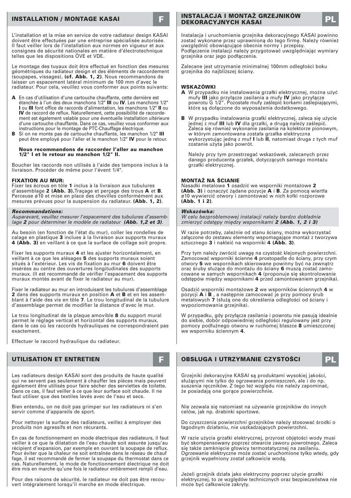# **INSTALLATION / MONTAGE KASAI**

L'installation et la mise en service de votre radiateur design KASAI doivent être effectuées par une entreprise spécialisée autorisée. Il faut veiller lors de l'installation aux normes en vigueur et aux consignes de sécurité nationales en matière d'électrotechnique telles que les dispositions ÖVE et VDE.

Le montage des tuyaux doit être effectué en fonction des mesures géométriques du radiateur design et des éléments de raccordement (soupapes, vissages), **(cf. Abb. 1, 2)**. Nous recommandons de laisser un espacement latéral minimum de 100 mm d'avec le radiateur. Pour cela, veuillez vous conformer aux points suivants:

- **A** En cas d'utilisation d'une cartouche chauffante, cette dernière est étanchée à l'un des deux manchons 1/2" **III** ou **IV**. Les manchons 1/2" **I** ou **III** font office de raccords d'alimentation, les manchons 1/2" **II** ou **IV** de raccord de reflux. Naturellement, cette possibilité de raccordement est également valable pour une éventuelle installation ultérieure d'une cartouche chauffante. Dans ce cas, veuillez vous conformer aux instructions pour le montage de PTC-Chauffage électrique.
- **B** Si on ne monte pas de cartouche chauffante, les manchon 1/2" **III** peut être employé pour l'aller et le manchon 1/2" **IV** pour le retour.

#### **Nous recommandons de raccorder l'aller au manchon 1/2" I et le retour au manchon 1/2" II.**

Boucher les raccords non utilisés à l'aide des tampons inclus à la livraison. Procéder de même pour l'évent 1/4".

#### **FIXATION AU MUR:**

Fixer les écrous en tôle **1** inclus à la livraison aux tubulures d'assemblage **2 (Abb. 3).**Traçage et perçage des trous **A** et **B**. Perceuse ø10 et mise en place des chevilles conformément aux mesures prévues pour la suspension du radiateur. **(Abb. 1, 2)**.

#### **Recommandations:**

Auparavant, veuillez mesurer l'espacement des tubulures d'assemblage **2** pour déterminer le modèle de radiateur **(Abb. 1,2 et 3)**.

Au besoin (en fonction de l'état du mur), coller les rondelles de calage en plastique **3** inclues à la livraison aux supports muraux **4 (Abb. 3)** en veillant à ce que la surface de collage soit propre.

Fixer les supports muraux **4** et les ajuster horizontalement, en veillant à ce que les alésages **5** des supports muraux soient situés à l'extérieur. Les vis de fixation au mur **6** doivent être insérées au centre des ouvertures longitudinales des supports muraux. (Il est recommandé de vérifier l'espacement des supports muraux montés avant de fixer le radiateur au mur).

Fiver le radiateur au mur en introduisant les tubulures d'assemblage **2** dans des supports muraux en position **A** et **B** et en les assemblant à l'aide des vis en tôle **7**. Le trou longitudinal de la tubulure d'assemblage permet de modifier la distance d'avec le mur.

Le trou longitudinal de la plaque amovible **8** du support mural permet le réglage vertical et horizontal des supports muraux, dans le cas où les raccords hydrauliques ne correspondraient pas exactement.

Effectuer le raccord hydraulique du radiateur.

Les radiateurs design KASAI sont des produits de haute qualité qui ne servent pas seulement à chauffer les pièces mais peuvent également être utilisés pour faire sécher des serviettes de toilette. Dans ce cas, il faut veiller à ce que leur surface soit chaude. Il ne faut utiliser que des textiles lavés avec de l'eau et secs.

Bien entendu, on ne doit pas grimper sur les radiateurs ni s'en servir comme d'appareils de sport.

Pour nettoyer la surface des radiateurs, veillez à employer des produits non agressifs et non récurants.

En cas de fonctionnement en mode électrique des radiateurs, il faut veiller à ce que la dilatation de l'eau chaude soit assurée jusqu'au récipient d'expansion, par exemple en ouvrant la soupape de reflux. Pour éviter que la chaleur ne soit entraînée dans le réseau de chauf fage, il est recommandé de fermer la soupape du thermostat dans ce cas. Naturellement, le mode de fonctionnement électrique ne doit être mis en marche qu'une fois le radiateur entièrement rempli d'eau.

Pour des raisons de sécurité, le radiateur ne doit pas être recouvert intégralement lorsqu'il marche en mode électrique.

# **INSTALACJA I MONTAŻ GRZEJNIKÓW<br>DEKORACYJNYCH KASAL**

Instalacja i uruchomienie grzejnika dekoracyjnego KASAI powinno zostać wykonane przez uprawnioną do tego firmę. Należy również uwzględnić obowiązujące obecnie normy i przepisy. Podłączenie instalacji należy przygotować uwzględniając wymiary

grzejnika oraz jego podłączenia.

Zalecane jest utrzymanie minimalnej 100mm odległości boku grzejnika do najbliższej ściany.

#### **WSKAZÓWKI**

- **A** W przypadku nie instalowania grzałki elektrycznej, można użyć mufy **III** jako przyłącze zasilania a mufy **IV** jako przyłącze powrotu G 1/2". Pozostałe mufy zaślepić korkami zaślepiającymi, które są dołączone do wyposażenia dodatkowego.
- **B** W przypadku instalowania grzałki elektrycznej, zaleca się użycie jednej z muf **III** lub **IV** dla grzałki, a drugą należy zaślepić. Zaleca się również wykonanie zasilania na kolektorze pionowym, w którym zamontowana została grzałka elektryczna wykorzystując jedną z muf **I** lub **II**, natomiast druga z tych muf zostanie użyta jako powrót.

Należy przy tym przestrzegać wskazówek, zalecanych przez danego producenta grzałek, dotyczących samego montażu grzałki elektrycznej.

#### **MONTAŻ NA ŚCIANIE**

Nasadki metalowe **1** osadzić we wsporniki montażowe **2 (Abb. 3)** i oznaczyć żądane pozycje **A** i **B**. Za pomocą wiertła ø10 wywiercić otwory i zamontować w nich kołki rozporowe **(Abb. 1 i 2)**.

#### **Wskazówka:**

W celu bezproblemowej instalacji należy bardzo dokładnie zmierzyć odstępy między wspornikami **2 (Abb. 1, 2 i 3)**

W razie potrzeby, zależnie od stanu ściany, można wykorzystać załączone do zestawu elementy wspomagające montaż z tworzywa sztucznego **3** i nakleić na wsporniki **4 (Abb. 3)**.

Przy tym należy zwrócić uwagę na czystość klejonych powierzchni. Zamocować wsporniki ścienne **4** prostopadle do ściany, przy czym otwory **5** we wspornikach skierowane powinny być na zewnątrz oraz śruby służące do montażu do ściany **6** muszą zostać zamocowane w samych wspornikach **4** (proponuje się skontrolowanie odstępów między wspornikami **4** przed zamontowaniem grzejnika).

Osadzić wsporniki montażowe **2** we wsporników ściennych **4** w pozycji **A** i **B** , a następnie zamocować je przy pomocy śrub metalowych **7** (służą one do określenia odległości od ściany i wypoziomowania grzejnika).

W przypadku, gdy przyłącza zasilania i powrotu nie pasują idealnie do siebie, dobór odpowiedniej odległości regulowany jest przy pomocy podłużnego otworu w ruchomej blaszce **8** umieszczonej we wsporniku ściennym **4**.

**UTILISATION ET ENTRETIEN F OBSŁUGA I UTRZYMANIE CZYSTOŚCI PL**

Grzejniki dekoracyjne KASAI są produktami wysokiej jakości, służącymi nie tylko do ogrzewania pomieszczeń, ale i do np. suszenia ręczników. Z tego też względu nie należy zapominać, że posiadają one gorące powierzchnie.

Nie zezwala się natomiast na używanie grzejników do innych celów, jak np. drabinki sportowe.

Do czyszczenia powierzchni grzejników należy stosować środki o łagodnym działaniu, nie uszkadzających powierzchni.

W razie użycia grzałki elektrycznej, przyrost objętości wody musi być skompensowany poprzez otwarcie zaworu powrotnego. Zaleca się także zamknięcie głowicy termostatycznej na zasilaniu. Ogrzewanie elektryczne może zostać uruchomione tylko wtedy, gdy grzejnik wypełniony został całkowicie wodą.

Jeżeli grzejnik działa jako elektryczny poprzez użycie grzałki elektrycznej, to ze względów technicznych oraz bezpieczeństwa nie może być całkowicie zakryty.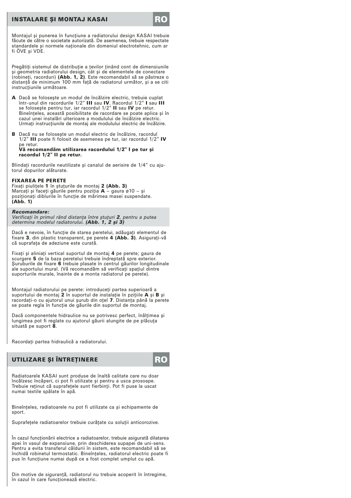# **INSTALARE SI MONTAJ KASAI**

Montajul și punerea în funcțiune a radiatorului design KASAI trebuie făcute de către o societate autorizată. De asemenea, trebuie respectate standardele și normele naționale din domeniul electrotehnic, cum ar fi ÖVE şi VDE.

Pregătiți sistemul de distribuție a tevilor ținând cont de dimensiunile şi geometria radiatorului design, cât şi de elementele de conectare (robineţi, racorduri) (Abb. 1, 2). Este recomandabil să se păstreze o distanță de minimum 100 mm față de radiatorul următor, și a se citi instrucțiunile următoare.

- A Dacă se foloseşte un modul de încălzire electric, trebuie cuplat într-unul din racordurile 1/2" III sau IV. Racordul 1/2" I sau III se foloseşte pentru tur, iar racordul 1/2" II sau IV pe retur. Bineînţeles, această posibilitate de racordare se poate aplica şi în cazul unei instalări ulterioare a modulului de încălzire electric. Urmați instrucțiunile de montaj ale modulului electric de încălzire.
- B Dacă nu se foloseşte un modul electric de încălzire, racordul 1/2" III poate fi folosit de asemenea pe tur, iar racordul 1/2" IV pe retur. Vă recomandăm utilizarea racordului 1/2" I pe tur şi

racordul 1/2" II pe retur.

Blindați racordurile neutilizate și canalul de aerisire de 1/4" cu ajutorul dopurilor alăturate.

#### FIXAREA PE PERETE

Fixati piulitele 1 în stuturile de montai 2 (Abb. 3) Marcaţi și faceţi găurile pentru poziţia **A** – gaura ø10 – și<br>poziţionaţi diblurile în funcţie de mărimea masei suspendate.<br>**(Abb. 1)** 

#### Recomandare:

Verificați în primul rând distanța între ștuțuri **2**, pentru a putea<br>determina modelul radiatorului. **(Abb. 1, 2 și 3)** 

Dacă e nevoie, în funcţie de starea peretelui, adăugaţi elementul de fixare 3, din plastic transparent, pe perete 4 (Abb. 3). Asiguraţi-vă că suprafața de adeziune este curată.

Fixati și aliniați vertical suportul de montaj 4 pe perete; gaura de scurgere 5 de la baza peretelui trebuie îndreptată spre exterior. Suruburile de fixare 6 trebuie plasate în centrul găurilor longitudinale ale suportului mural. (Vă recomandăm să verificati spatiul dintre suporturile murale, înainte de a monta radiatorul pe perete).

Montajul radiatorului pe perete: introduceți partea superioară a<br>suportului de montaj **2** în suportul de instalație în pzițiile **A** și **B** și racordaţi-o cu ajutorul unui şurub din oţel 7. Distanţa până la perete se poate regla în funcție de găurile din suportul de montaj.

Dacă componentele hidraulice nu se potrivesc perfect, înălțimea și lungimea pot fi reglate cu ajutorul găurii alungite de pe plăcuta situată pe suport 8.

Racordaţi partea hidraulică a radiatorului.

### UTILIZARE ŞI ÎNTREŢINERE **RO**



Radiatoarele KASAI sunt produse de înaltă calitate care nu doar încălzesc încăperi, ci pot fi utilizate şi pentru a usca prosoape. Trebuie retinut că suprafetele sunt fierbinți. Pot fi puse la uscat numai textile spălate în apă.

Bineînţeles, radiatoarele nu pot fi utilizate ca şi echipamente de sport

Suprafetele radiatoarelor trebuie curătate cu soluții anticorozive.

În cazul functionării electrice a radiatoarelor, trebuie asigurată dilatarea apei în vasul de expansiune, prin deschiderea supapei de uni-sens. Pentru a evita transferul căldurii în sistem, este recomandabil să se închidă robinetul termostatic. Bineînţeles, radiatorul electric poate fi pus în funcțiune numai după ce a fost complet umplut cu apă.

Din motive de siguranță, radiatorul nu trebuie acoperit în întregime, în cazul în care functionează electric.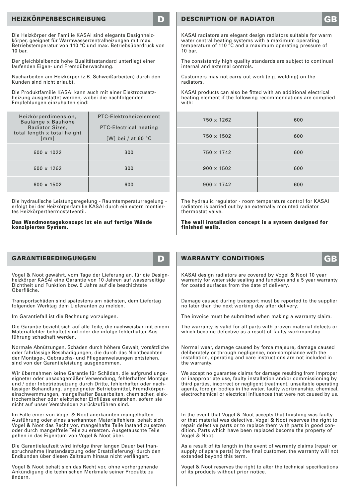# **HEIZKÖRPERBESCHREIBUNG D**

Die Heizkörper der Familie KASAI sind elegante Designheizkörper, geeignet für Warmwasserzentralheizungen mit max. Betriebstemperatur von 110 °C und max. Betriebsüberdruck von 10 bar.

Der gleichbleibende hohe Qualitätsstandard unterliegt einer laufenden Eigen- und Fremdüberwachung.

Nacharbeiten am Heizkörper (z.B. Schweißarbeiten) durch den Kunden sind nicht erlaubt.

Die Produktfamilie KASAI kann auch mit einer Elektrozusatzheizung ausgestattet werden, wobei die nachfolgenden Empfehlungen einzuhalten sind:

| Heizkörperdimension,<br>Baulänge x Bauhöhe<br>Radiator Sizes.<br>total length x total height<br>[mm] | PTC-Elektroheizelement<br>PTC-Electrical heating<br>[W] bei / at 60 $^{\circ}$ C |  |
|------------------------------------------------------------------------------------------------------|----------------------------------------------------------------------------------|--|
| 600 x 1022                                                                                           | 300                                                                              |  |
| 600 x 1262                                                                                           | 300                                                                              |  |
| 600 x 1502                                                                                           | 600                                                                              |  |

Die hydraulische Leistungsregelung - Raumtemperaturregelung - erfolgt bei der Heizkörperfamilie KASAI durch ein extern montiertes Heizkörperthermostatventil.

#### **Das Wandmontagekonzept ist ein auf fertige Wände konzipiertes System.**

# GARANTIEREDINGUNGEN

Vogel & Noot gewährt, vom Tage der Lieferung an, für die Design-heizkörper KASAI eine Garantie von 10 Jahren auf wasserseitige Dichtheit und Funktion bzw. 5 Jahre auf die beschichtete Oberfläche.

Transportschäden sind spätestens am nächsten, dem Liefertag folgenden Werktag dem Lieferanten zu melden.

Im Garantiefall ist die Rechnung vorzulegen.

Die Garantie bezieht sich auf alle Teile, die nachweisbar mit einem Materialfehler behaftet sind oder die infolge fehlerhafter Ausführung schadhaft werden.

Normale Abnützungen, Schäden durch höhere Gewalt, vorsätzliche oder fahrlässige Beschädigungen, die durch das Nichtbeachten der Montage-, Gebrauchs- und Pflegeanweisungen entstehen, sind von der Garantieleistung ausgenommen.

Wir übernehmen keine Garantie für Schäden, die aufgrund ungeeigneter oder unsachgemäßer Verwendung, fehlerhafter Montage und / oder Inbetriebsetzung durch Dritte, fehlerhafter oder nach-<br>lässiger Behandlung, ungeeigneter Betriebsmittel, Fremdkörper-<br>einschwemmungen, mangelhafter Bauarbeiten, chemischer, elektrochemischer oder elektrischer Einflüsse entstehen, sofern sie nicht auf unser Verschulden zurückzuführen sind.

Im Falle einer von Vogel & Noot anerkannten mangelhaften Ausführung oder eines anerkannten Materialfehlers, behält sich Vogel & Noot das Recht vor, mangelhafte Teile instand zu setzen oder durch mangelfreie Teile zu ersetzen. Ausgetauschte Teile gehen in das Eigentum von Vogel & Noot über.

Die Garantielaufzeit wird infolge ihrer langen Dauer bei Inanspruchnahme (Instandsetzung oder Ersatzlieferung) durch den Endkunden über diesen Zeitraum hinaus nicht verlängert.

Vogel & Noot behält sich das Recht vor, ohne vorhergehende Ankündigung die technischen Merkmale seiner Produkte zu ändern.

# **DESCRIPTION OF RADIATOR**

KASAI radiators are elegant design radiators suitable for warm water central heating systems with a maximum operating temperature of 110 °C and a maximum operating pressure of  $10<sub>har</sub>$ 

The consistently high quality standards are subject to continual internal and external controls.

Customers may not carry out work (e.g. welding) on the radiators.

KASAI products can also be fitted with an additional electrical heating element if the following recommendations are complied with:

| 750 x 1262        | 600 |
|-------------------|-----|
| 750 x 1502        | 600 |
| 750 x 1742        | 600 |
| $900 \times 1502$ | 600 |
| $900 \times 1742$ | 600 |

The hydraulic regulator - room temperature control for KASAI radiators is carried out by an externally mounted radiator thermostat valve.

**The wall installation concept is a system designed for finished walls.**

# **WARRANTY CONDITIONS**

KASAI design radiators are covered by Vogel & Noot 10 year warranty for water side sealing and function and a 5 year warranty for coated surfaces from the date of delivery.

Damage caused during transport must be reported to the supplier no later than the next working day after delivery.

The invoice must be submitted when making a warranty claim.

The warranty is valid for all parts with proven material defects or which become defective as a result of faulty workmanship.

Normal wear, damage caused by force majeure, damage caused deliberately or through negligence, non-compliance with the installation, operating and care instructions are not included in the warranty.

We accept no guarantee claims for damage resulting from improper or inappropriate use, faulty installation and/or commissioning by third parties, incorrect or negligent treatment, unsuitable operating agents, foreign bodies in the water, faulty workmanship, chemical, electrochemical or electrical influences that were not caused by us.

In the event that Vogel & Noot accepts that finishing was faulty or that material was defective, Vogel & Noot reserves the right to repair defective parts or to replace them with parts in good condition. Parts which have been replaced become the property of Vogel & Noot.

As a result of its length in the event of warranty claims (repair or supply of spare parts) by the final customer, the warranty will not extended beyond this term.

Vogel & Noot reserves the right to alter the technical specifications of its products without prior notice.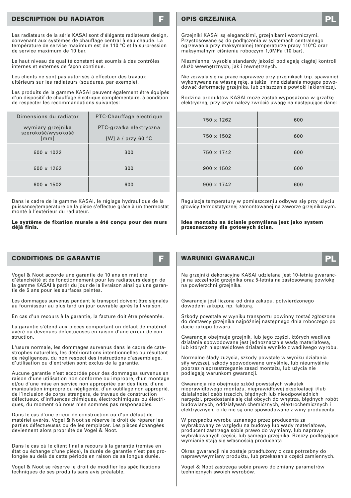# **DESCRIPTION DU RADIATOR**

Les radiateurs de la série KASAI sont d'élégants radiateurs design, convenant aux systèmes de chauffage central à eau chaude. La température de service maximum est de 110 °C et la surpression de service maximum de 10 bar.

Le haut niveau de qualité constant est soumis à des contrôles internes et externes de façon continue.

Les clients ne sont pas autorisés à effectuer des travaux ultérieurs sur les radiateurs (soudures, par exemple).

Les produits de la gamme KASAI peuvent également être équipés d'un dispositif de chauffage électrique complémentaire, à condition de respecter les recommandations suivantes:

| Dimensions du radiator                          | PTC-Chauffage électrique                                |  |
|-------------------------------------------------|---------------------------------------------------------|--|
| wymiary grzejnika<br>szerokość/wysokość<br>[mm] | PTC-grzałka elektryczna<br>[W] à / przy 60 $^{\circ}$ C |  |
| 600 x 1022                                      | 300                                                     |  |
| 600 x 1262                                      | 300                                                     |  |
| $600 \times 1502$                               | 600                                                     |  |

Dans le cadre de la gamme KASAI, le réglage hydraulique de la puissance/température de la pièce s'effectue grâce à un thermostat monté à l'extérieur du radiateur.

#### **Le système de fixation murale a été conçu pour des murs déjà finis.**

# **CONDITIONS DE GARANTIE F**

Vogel & Noot accorde une garantie de 10 ans en matière d'étanchéité et de fonctionnement pour les radiateurs design de la gamme KASAI à partir du jour de la livraison ainsi qu'une garantie de 5 ans pour les surfaces peintes.

Les dommages survenus pendant le transport doivent être signalés au fournisseur au plus tard un jour ouvrable après la livraison.

En cas d'un recours à la garantie, la facture doit être présentée.

La garantie s'étend aux pièces comportant un défaut de matériel avéré ou devenues défectueuses en raison d'une erreur de construction.

L'usure normale, les dommages survenus dans le cadre de catastrophes naturelles, les détériorations intentionnelles ou résultant de négligences, du non respect des instructions d'assemblage, d'utilisation ou d'entretien sont exclus de la garantie.

Aucune garantie n'est accordée pour des dommages survenus en raison d'une utilisation non conforme ou impropre, d'un montage et/ou d'une mise en service non appropriée par des tiers, d'une manipulation impropre ou négligente, d'un outillage non approprié, de l'inclusion de corps étrangers, de travaux de construction défectueux, d'influences chimiques, électrochimiques ou électriques, du moment où nous n'en sommes pas responsables.

Dans le cas d'une erreur de construction ou d'un défaut de matériel avérés, Vogel & Noot se réserve le droit de réparer les parties défectueuses ou de les remplacer. Les pièces échangées deviennent alors propriété de Vogel & Noot.

Dans le cas où le client final a recours à la garantie (remise en état ou échange d'une pièce), la durée de garantie n'est pas prolongée au delà de cette période en raison de sa longue durée.

Vogel & Noot se réserve le droit de modifier les spécifications techniques de ses produits sans avis préalable.

# **OPIS GRZEJNIKA**

Grzejniki KASAI są eleganckimi, grzejnikami wzorniczymi. Przystosowane są do podłączenia w systemach centralnego ogrzewania przy maksymalnej temperaturze pracy 110°C oraz maksymalnym ciśnieniu roboczym 1,0MPa (10 bar).

Niezmienne, wysokie standardy jakości podlegają ciągłej kontroli służb wewnętrznych, jak i zewnętrznych.

Nie zezwala się na prace naprawcze przy grzejnikach (np. spawanie) wykonywane na własną rękę, a także inne działania mogące powodować deformację grzejnika, lub zniszczenie powłoki lakierniczej.

Rodzina produktów KASAI może zostać wyposażona w grzałkę elektryczną, przy czym należy zwrócić uwagę na następujące dane:

| 750 x 1262        | 600 |
|-------------------|-----|
| 750 x 1502        | 600 |
| 750 x 1742        | 600 |
| $900 \times 1502$ | 600 |
| $900 \times 1742$ | 600 |

Regulacja temperatury w pomieszczeniu odbywa się przy użyciu głowicy termostatycznej zamontowanej na zaworze grzejnikowym.

**Idea montażu na ścianie pomyślana jest jako system przeznaczony dla gotowych ścian.**

# **WARUNKI GWARANCJI PLANCISCH**

Na grzejniki dekoracyjne KASAI udzielana jest 10-letnia gwarancja na szczelność grzejnika oraz 5-letnia na zastosowaną powłokę na powierzchni grzejnika.

Gwarancja jest liczona od dnia zakupu, potwierdzonego dowodem zakupu, np. fakturą.

Szkody powstałe w wyniku transportu powinny zostać zgłoszone do dostawcy grzejnika najpóźniej następnego dnia roboczego po dacie zakupu towaru.

Gwarancja obejmuje grzejnik, lub jego części, których wadliwe działanie spowodowane jest jednoznacznie wadą materiałową, lub których nieprawidłowe działanie wynikło z wadliwego wyrobu.

Normalne ślady zużycia, szkody powstałe w wyniku działania siły wyższej, szkody spowodowane umyślnie, lub nieumyślnie poprzez nieprzestrzeganie zasad montażu, lub użycia nie podlegają warunkom gwarancji.

Gwarancja nie obejmuje szkód powstałych wskutek nieprawidłowego montażu, nieprawidłowej eksploatacji i/lub działalności osób trzecich, błędnych lub nieodpowiednich narzędzi, przedostania się ciał obcych do wnętrza, błędnych robót budowlanych, oddziaływań chemicznych, elektrochemicznych i elektrycznych, o ile nie są one spowodowane z winy producenta.

W przypadku wyrobu uznanego przez producenta za wybrakowany ze względu na budowę lub wady materiałowe, producent zastrzega sobie prawo do wymiany, lub naprawy wybrakowanych części, lub samego grzejnika. Rzeczy podlegające wymianie stają się własnością producenta

Okres gwarancji nie zostaje przedłużony o czas potrzebny do naprawy/wymiany produktu, lub przekazania części zamiennych.

Vogel & Noot zastrzega sobie prawo do zmiany parametrów technicznych swoich wyrobów.